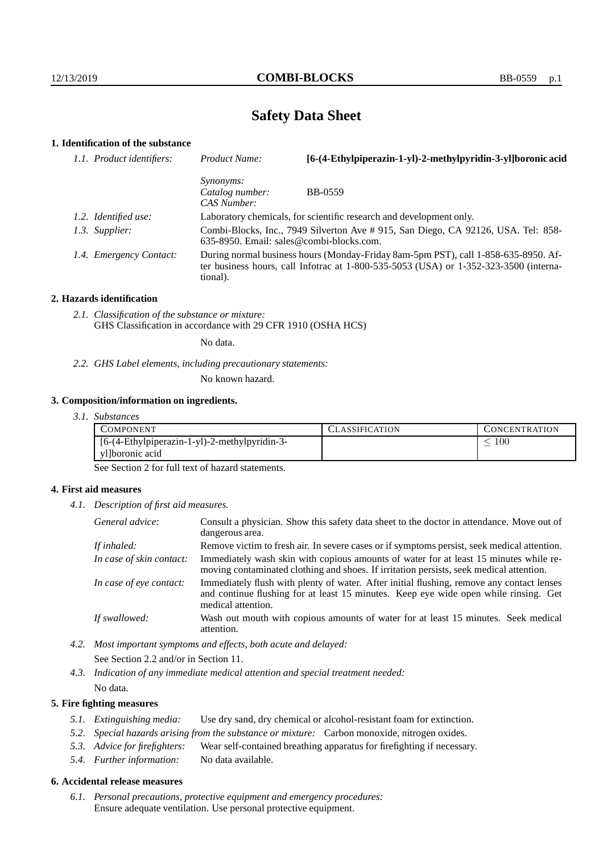# **Safety Data Sheet**

# **1. Identification of the substance**

| Product Name:                                                                                                                    | [6-(4-Ethylpiperazin-1-yl)-2-methylpyridin-3-yl]boronic acid                                                                                                                    |
|----------------------------------------------------------------------------------------------------------------------------------|---------------------------------------------------------------------------------------------------------------------------------------------------------------------------------|
| <i>Synonyms:</i><br>Catalog number:<br>CAS Number:                                                                               | BB-0559                                                                                                                                                                         |
|                                                                                                                                  | Laboratory chemicals, for scientific research and development only.                                                                                                             |
| Combi-Blocks, Inc., 7949 Silverton Ave # 915, San Diego, CA 92126, USA. Tel: 858-<br>$635-8950$ . Email: sales@combi-blocks.com. |                                                                                                                                                                                 |
| tional).                                                                                                                         | During normal business hours (Monday-Friday 8am-5pm PST), call 1-858-635-8950. Af-<br>ter business hours, call Infotrac at $1-800-535-5053$ (USA) or $1-352-323-3500$ (interna- |
| 1.1. Product identifiers:<br>1.2. Identified use:<br>1.3. Supplier:<br>1.4. Emergency Contact:                                   |                                                                                                                                                                                 |

#### **2. Hazards identification**

*2.1. Classification of the substance or mixture:* GHS Classification in accordance with 29 CFR 1910 (OSHA HCS)

No data.

*2.2. GHS Label elements, including precautionary statements:*

No known hazard.

#### **3. Composition/information on ingredients.**

*3.1. Substances*

| COMPONENT                                     | LASSIFICATION. | CONCENTRATION. |
|-----------------------------------------------|----------------|----------------|
| [6-(4-Ethylpiperazin-1-yl)-2-methylpyridin-3- |                | 100            |
| yl]boronic acid                               |                |                |

See Section 2 for full text of hazard statements.

### **4. First aid measures**

*4.1. Description of first aid measures.*

| General advice:          | Consult a physician. Show this safety data sheet to the doctor in attendance. Move out of<br>dangerous area.                                                                                            |
|--------------------------|---------------------------------------------------------------------------------------------------------------------------------------------------------------------------------------------------------|
| If inhaled:              | Remove victim to fresh air. In severe cases or if symptoms persist, seek medical attention.                                                                                                             |
| In case of skin contact: | Immediately wash skin with copious amounts of water for at least 15 minutes while re-<br>moving contaminated clothing and shoes. If irritation persists, seek medical attention.                        |
| In case of eye contact:  | Immediately flush with plenty of water. After initial flushing, remove any contact lenses<br>and continue flushing for at least 15 minutes. Keep eye wide open while rinsing. Get<br>medical attention. |
| If swallowed:            | Wash out mouth with copious amounts of water for at least 15 minutes. Seek medical<br>attention.                                                                                                        |

*4.2. Most important symptoms and effects, both acute and delayed:* See Section 2.2 and/or in Section 11.

*4.3. Indication of any immediate medical attention and special treatment needed:* No data.

### **5. Fire fighting measures**

- *5.1. Extinguishing media:* Use dry sand, dry chemical or alcohol-resistant foam for extinction.
- *5.2. Special hazards arising from the substance or mixture:* Carbon monoxide, nitrogen oxides.
- *5.3. Advice for firefighters:* Wear self-contained breathing apparatus for firefighting if necessary.
- *5.4. Further information:* No data available.

## **6. Accidental release measures**

*6.1. Personal precautions, protective equipment and emergency procedures:* Ensure adequate ventilation. Use personal protective equipment.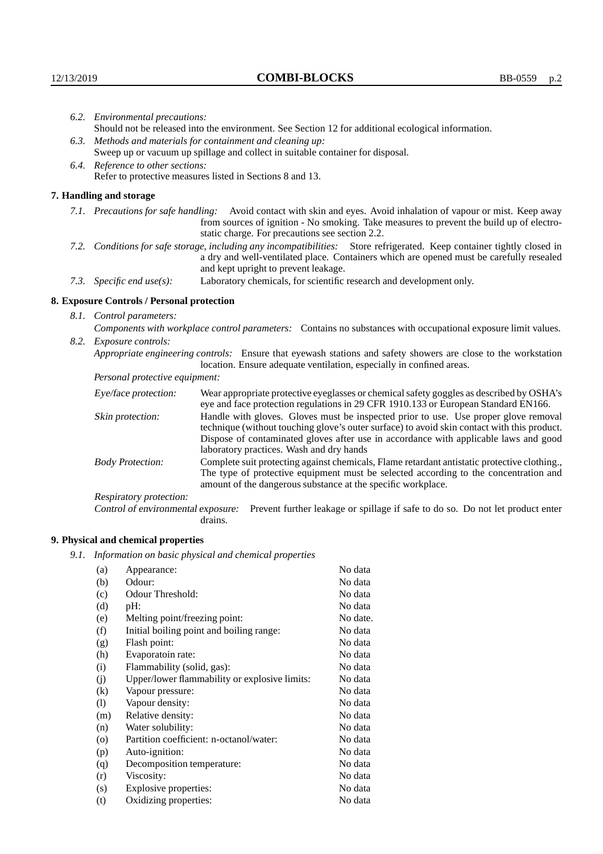| 6.2. Environmental precautions:<br>Should not be released into the environment. See Section 12 for additional ecological information.                                                                                                                      |                                                                                                                                                                                                                                                                    |  |  |
|------------------------------------------------------------------------------------------------------------------------------------------------------------------------------------------------------------------------------------------------------------|--------------------------------------------------------------------------------------------------------------------------------------------------------------------------------------------------------------------------------------------------------------------|--|--|
|                                                                                                                                                                                                                                                            |                                                                                                                                                                                                                                                                    |  |  |
| 6.3. Methods and materials for containment and cleaning up:<br>Sweep up or vacuum up spillage and collect in suitable container for disposal.                                                                                                              |                                                                                                                                                                                                                                                                    |  |  |
| 6.4. Reference to other sections:                                                                                                                                                                                                                          |                                                                                                                                                                                                                                                                    |  |  |
| Refer to protective measures listed in Sections 8 and 13.                                                                                                                                                                                                  |                                                                                                                                                                                                                                                                    |  |  |
| 7. Handling and storage                                                                                                                                                                                                                                    |                                                                                                                                                                                                                                                                    |  |  |
|                                                                                                                                                                                                                                                            | 7.1. Precautions for safe handling: Avoid contact with skin and eyes. Avoid inhalation of vapour or mist. Keep away<br>from sources of ignition - No smoking. Take measures to prevent the build up of electro-<br>static charge. For precautions see section 2.2. |  |  |
| 7.2. Conditions for safe storage, including any incompatibilities: Store refrigerated. Keep container tightly closed in<br>a dry and well-ventilated place. Containers which are opened must be carefully resealed<br>and kept upright to prevent leakage. |                                                                                                                                                                                                                                                                    |  |  |
| Laboratory chemicals, for scientific research and development only.<br>7.3. Specific end use(s):                                                                                                                                                           |                                                                                                                                                                                                                                                                    |  |  |
| 8. Exposure Controls / Personal protection                                                                                                                                                                                                                 |                                                                                                                                                                                                                                                                    |  |  |
| 8.1. Control parameters:                                                                                                                                                                                                                                   |                                                                                                                                                                                                                                                                    |  |  |
| Components with workplace control parameters: Contains no substances with occupational exposure limit values.                                                                                                                                              |                                                                                                                                                                                                                                                                    |  |  |
| 8.2. Exposure controls:                                                                                                                                                                                                                                    |                                                                                                                                                                                                                                                                    |  |  |
|                                                                                                                                                                                                                                                            | Appropriate engineering controls: Ensure that eyewash stations and safety showers are close to the workstation<br>location. Ensure adequate ventilation, especially in confined areas.                                                                             |  |  |
| Personal protective equipment:                                                                                                                                                                                                                             |                                                                                                                                                                                                                                                                    |  |  |
| Eye/face protection:                                                                                                                                                                                                                                       | Wear appropriate protective eyeglasses or chemical safety goggles as described by OSHA's<br>eye and face protection regulations in 29 CFR 1910.133 or European Standard EN166.                                                                                     |  |  |
| Skin protection:                                                                                                                                                                                                                                           | Handle with gloves. Gloves must be inspected prior to use. Use proper glove removal<br>technique (without touching glove's outer surface) to avoid skin contact with this product.                                                                                 |  |  |

## **8. Exposure Controls / Personal protection**

| Eye/face protection:               | Wear appropriate protective eyeglasses or chemical safety goggles as described by OSHA's<br>eye and face protection regulations in 29 CFR 1910.133 or European Standard EN166.                                                                                                                                         |  |  |
|------------------------------------|------------------------------------------------------------------------------------------------------------------------------------------------------------------------------------------------------------------------------------------------------------------------------------------------------------------------|--|--|
| Skin protection:                   | Handle with gloves. Gloves must be inspected prior to use. Use proper glove removal<br>technique (without touching glove's outer surface) to avoid skin contact with this product.<br>Dispose of contaminated gloves after use in accordance with applicable laws and good<br>laboratory practices. Wash and dry hands |  |  |
| <b>Body Protection:</b>            | Complete suit protecting against chemicals, Flame retardant antistatic protective clothing.,<br>The type of protective equipment must be selected according to the concentration and<br>amount of the dangerous substance at the specific workplace.                                                                   |  |  |
| Respiratory protection:            |                                                                                                                                                                                                                                                                                                                        |  |  |
| Control of environmental exposure: | Prevent further leakage or spillage if safe to do so. Do not let product enter<br>drains.                                                                                                                                                                                                                              |  |  |

## **9. Physical and chemical properties**

*9.1. Information on basic physical and chemical properties*

| (a)      | Appearance:                                   | No data  |
|----------|-----------------------------------------------|----------|
| (b)      | Odour:                                        | No data  |
| (c)      | Odour Threshold:                              | No data  |
| (d)      | pH:                                           | No data  |
| (e)      | Melting point/freezing point:                 | No date. |
| (f)      | Initial boiling point and boiling range:      | No data  |
| (g)      | Flash point:                                  | No data  |
| (h)      | Evaporatoin rate:                             | No data  |
| (i)      | Flammability (solid, gas):                    | No data  |
| (j)      | Upper/lower flammability or explosive limits: | No data  |
| $\rm(k)$ | Vapour pressure:                              | No data  |
| (1)      | Vapour density:                               | No data  |
| (m)      | Relative density:                             | No data  |
| (n)      | Water solubility:                             | No data  |
| $\circ$  | Partition coefficient: n-octanol/water:       | No data  |
| (p)      | Auto-ignition:                                | No data  |
| (q)      | Decomposition temperature:                    | No data  |
| (r)      | Viscosity:                                    | No data  |
| (s)      | Explosive properties:                         | No data  |
| (t)      | Oxidizing properties:                         | No data  |